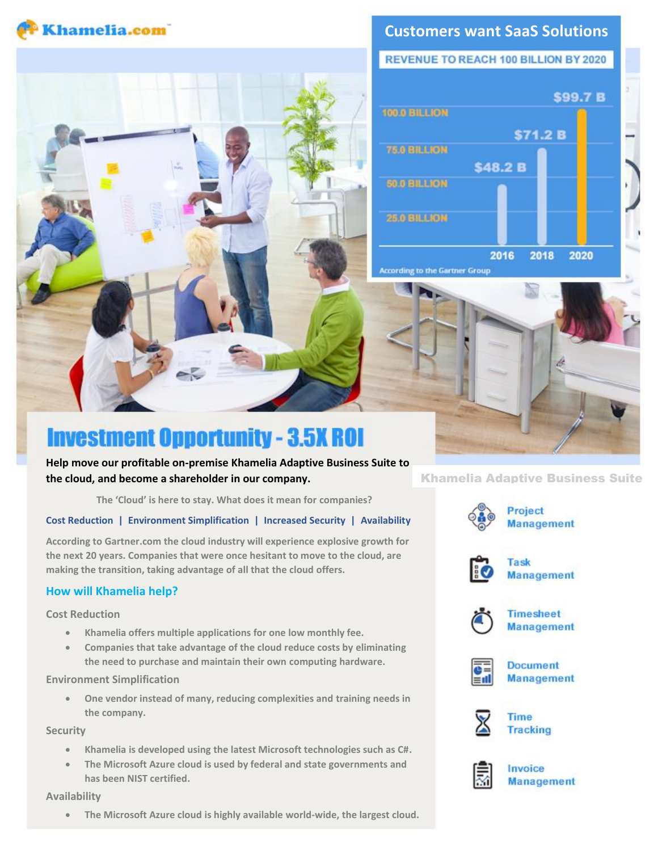

# **Customers want SaaS Solutions**

**REVENUE TO REACH 100 BILLION BY 2020** 



# **Investment Opportunity - 3.5X ROI**

**Help move our profitable on-premise Khamelia Adaptive Business Suite to the cloud, and become a shareholder in our company.**

**The 'Cloud' is here to stay. What does it mean for companies?**

## **Cost Reduction | Environment Simplification | Increased Security | Availability**

**According to Gartner.com the cloud industry will experience explosive growth for the next 20 years. Companies that were once hesitant to move to the cloud, are making the transition, taking advantage of all that the cloud offers.**

# **How will Khamelia help?**

**Cost Reduction**

- **Khamelia offers multiple applications for one low monthly fee.**
- **Companies that take advantage of the cloud reduce costs by eliminating the need to purchase and maintain their own computing hardware.**

## **Environment Simplification**

• **One vendor instead of many, reducing complexities and training needs in the company.**

## **Security**

- **Khamelia is developed using the latest Microsoft technologies such as C#.**
- **The Microsoft Azure cloud is used by federal and state governments and has been NIST certified.**

#### **Availability**

• **The Microsoft Azure cloud is highly available world-wide, the largest cloud.**

Khamelia Adaptive Business Suite







**Timesheet Management** 



**Document Management** 





**Management**